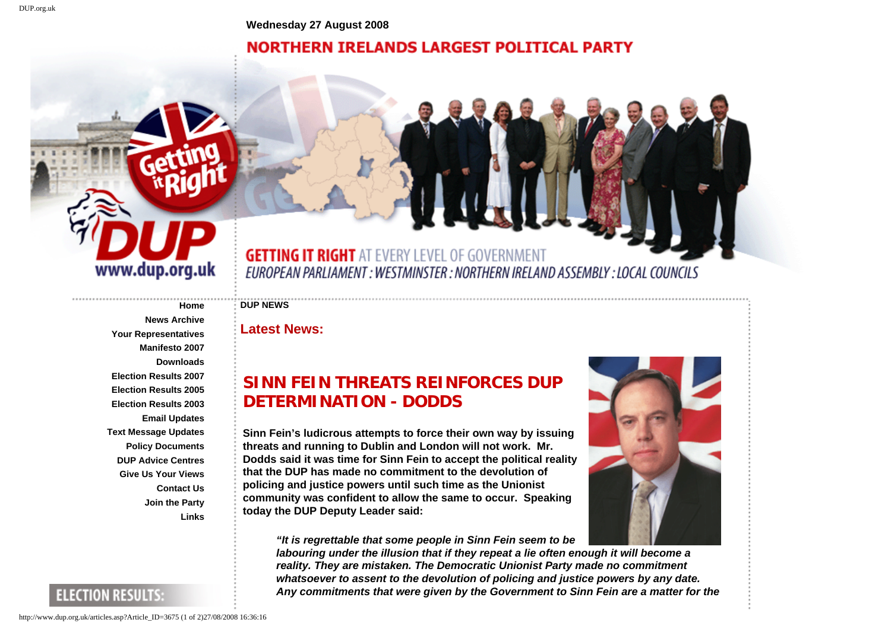**Wednesday 27 August 2008**

## **NORTHERN IRELANDS LARGEST POLITICAL PARTY**



**GETTING IT RIGHT AT EVERY LEVEL OF GOVERNMENT** EUROPEAN PARLIAMENT : WESTMINSTER : NORTHERN IRELAND ASSEMBLY : LOCAL COUNCILS

## **DUP NEWS**

**Latest News:**

## **SINN FEIN THREATS REINFORCES DUP DETERMINATION - DODDS**

**Sinn Fein's ludicrous attempts to force their own way by issuing threats and running to Dublin and London will not work. Mr. Dodds said it was time for Sinn Fein to accept the political reality that the DUP has made no commitment to the devolution of policing and justice powers until such time as the Unionist community was confident to allow the same to occur. Speaking today the DUP Deputy Leader said:** 

*"It is regrettable that some people in Sinn Fein seem to be* 



*labouring under the illusion that if they repeat a lie often enough it will become a reality. They are mistaken. The Democratic Unionist Party made no commitment whatsoever to assent to the devolution of policing and justice powers by any date. Any commitments that were given by the Government to Sinn Fein are a matter for the* 

**[News Archive](http://www.dup.org.uk/MoreArticles.asp) [Your Representatives](http://www.dup.org.uk/Representatives.asp) [Manifesto 2007](http://www.dup.org.uk/Manifesto2.asp) [Downloads](http://www.dup.org.uk/Downloads.asp) [Election Results 2007](http://www.dup.org.uk/Results2007seats.asp) [Election Results 2005](http://www.dup.org.uk/Getresults2005.asp?ConstituencyID=1) [Election Results 2003](http://www.dup.org.uk/Getresults.asp?ConstituencyID=1) [Email Updates](http://www.dup.org.uk/EmailSignUp.asp) [Text Message Updates](http://www.dup.org.uk/SmsSignUp.asp) [Policy Documents](http://www.dup.org.uk/PolicyPapers.asp) [DUP Advice Centres](http://www.dup.org.uk/AdviceCentres.asp) [Give Us Your Views](http://www.dup.org.uk/FeedBackForm.asp) [Contact Us](http://www.dup.org.uk/Contact.asp) [Join the Party](http://www.dup.org.uk/MembershipForm.asp) [Links](http://www.dup.org.uk/Links.asp)**

**[Home](http://www.dup.org.uk/Home.asp)**

## **ELECTION RESULTS:**